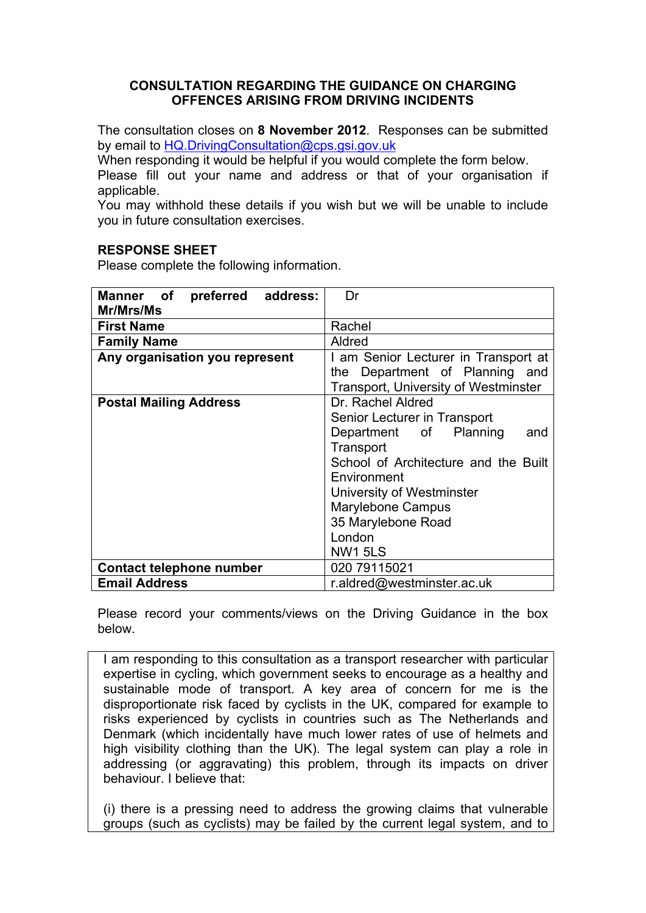## **CONSULTATION REGARDING THE GUIDANCE ON CHARGING OFFENCES ARISING FROM DRIVING INCIDENTS**

The consultation closes on **8 November 2012**. Responses can be submitted by email to [HQ.DrivingConsultation@cps.gsi.gov.uk](mailto:HQ.DrivingConsultation@cps.gsi.gov.uk)

When responding it would be helpful if you would complete the form below. Please fill out your name and address or that of your organisation if applicable.

You may withhold these details if you wish but we will be unable to include you in future consultation exercises.

## **RESPONSE SHEET**

Please complete the following information.

| Manner of preferred address:   | Dr                                          |
|--------------------------------|---------------------------------------------|
| Mr/Mrs/Ms                      |                                             |
| <b>First Name</b>              | Rachel                                      |
| <b>Family Name</b>             | Aldred                                      |
| Any organisation you represent | I am Senior Lecturer in Transport at        |
|                                | the Department of Planning and              |
|                                | <b>Transport, University of Westminster</b> |
| <b>Postal Mailing Address</b>  | Dr. Rachel Aldred                           |
|                                | Senior Lecturer in Transport                |
|                                | Department of Planning<br>and               |
|                                | Transport                                   |
|                                | School of Architecture and the Built        |
|                                | Environment                                 |
|                                | University of Westminster                   |
|                                | <b>Marylebone Campus</b>                    |
|                                | 35 Marylebone Road                          |
|                                | London                                      |
|                                | <b>NW1 5LS</b>                              |
| Contact telephone number       | 020 79115021                                |
| <b>Email Address</b>           | r.aldred@westminster.ac.uk                  |

Please record your comments/views on the Driving Guidance in the box below.

I am responding to this consultation as a transport researcher with particular expertise in cycling, which government seeks to encourage as a healthy and sustainable mode of transport. A key area of concern for me is the disproportionate risk faced by cyclists in the UK, compared for example to risks experienced by cyclists in countries such as The Netherlands and Denmark (which incidentally have much lower rates of use of helmets and high visibility clothing than the UK). The legal system can play a role in addressing (or aggravating) this problem, through its impacts on driver behaviour. I believe that:

(i) there is a pressing need to address the growing claims that vulnerable groups (such as cyclists) may be failed by the current legal system, and to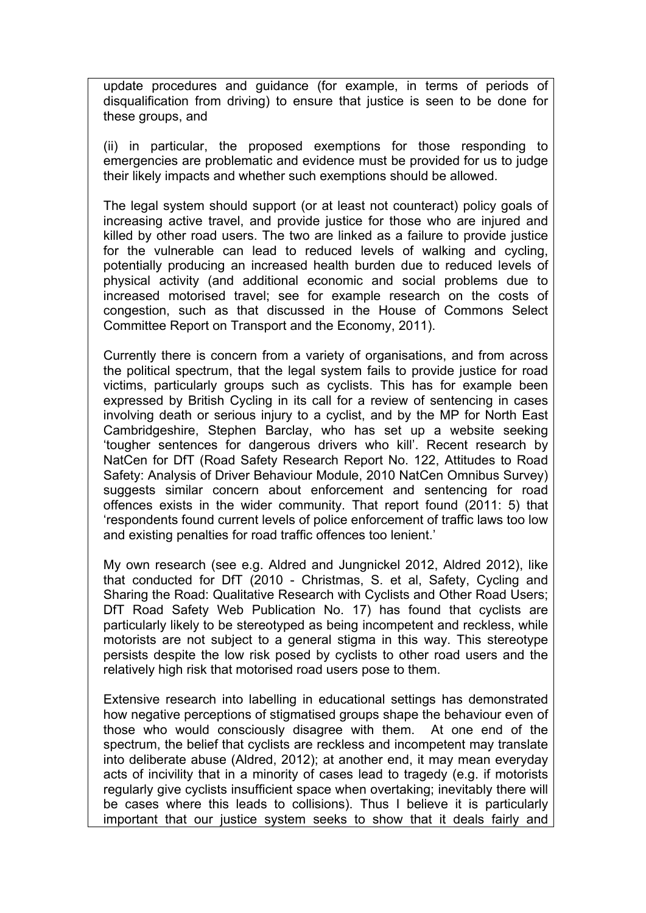update procedures and guidance (for example, in terms of periods of disqualification from driving) to ensure that justice is seen to be done for these groups, and

(ii) in particular, the proposed exemptions for those responding to emergencies are problematic and evidence must be provided for us to judge their likely impacts and whether such exemptions should be allowed.

The legal system should support (or at least not counteract) policy goals of increasing active travel, and provide justice for those who are injured and killed by other road users. The two are linked as a failure to provide justice for the vulnerable can lead to reduced levels of walking and cycling, potentially producing an increased health burden due to reduced levels of physical activity (and additional economic and social problems due to increased motorised travel; see for example research on the costs of congestion, such as that discussed in the House of Commons Select Committee Report on Transport and the Economy, 2011).

Currently there is concern from a variety of organisations, and from across the political spectrum, that the legal system fails to provide justice for road victims, particularly groups such as cyclists. This has for example been expressed by British Cycling in its call for a review of sentencing in cases involving death or serious injury to a cyclist, and by the MP for North East Cambridgeshire, Stephen Barclay, who has set up a website seeking 'tougher sentences for dangerous drivers who kill'. Recent research by NatCen for DfT (Road Safety Research Report No. 122, Attitudes to Road Safety: Analysis of Driver Behaviour Module, 2010 NatCen Omnibus Survey) suggests similar concern about enforcement and sentencing for road offences exists in the wider community. That report found (2011: 5) that 'respondents found current levels of police enforcement of traffic laws too low and existing penalties for road traffic offences too lenient.'

My own research (see e.g. Aldred and Jungnickel 2012, Aldred 2012), like that conducted for DfT (2010 - Christmas, S. et al, Safety, Cycling and Sharing the Road: Qualitative Research with Cyclists and Other Road Users; DfT Road Safety Web Publication No. 17) has found that cyclists are particularly likely to be stereotyped as being incompetent and reckless, while motorists are not subject to a general stigma in this way. This stereotype persists despite the low risk posed by cyclists to other road users and the relatively high risk that motorised road users pose to them.

Extensive research into labelling in educational settings has demonstrated how negative perceptions of stigmatised groups shape the behaviour even of those who would consciously disagree with them. At one end of the spectrum, the belief that cyclists are reckless and incompetent may translate into deliberate abuse (Aldred, 2012); at another end, it may mean everyday acts of incivility that in a minority of cases lead to tragedy (e.g. if motorists regularly give cyclists insufficient space when overtaking; inevitably there will be cases where this leads to collisions). Thus I believe it is particularly important that our justice system seeks to show that it deals fairly and